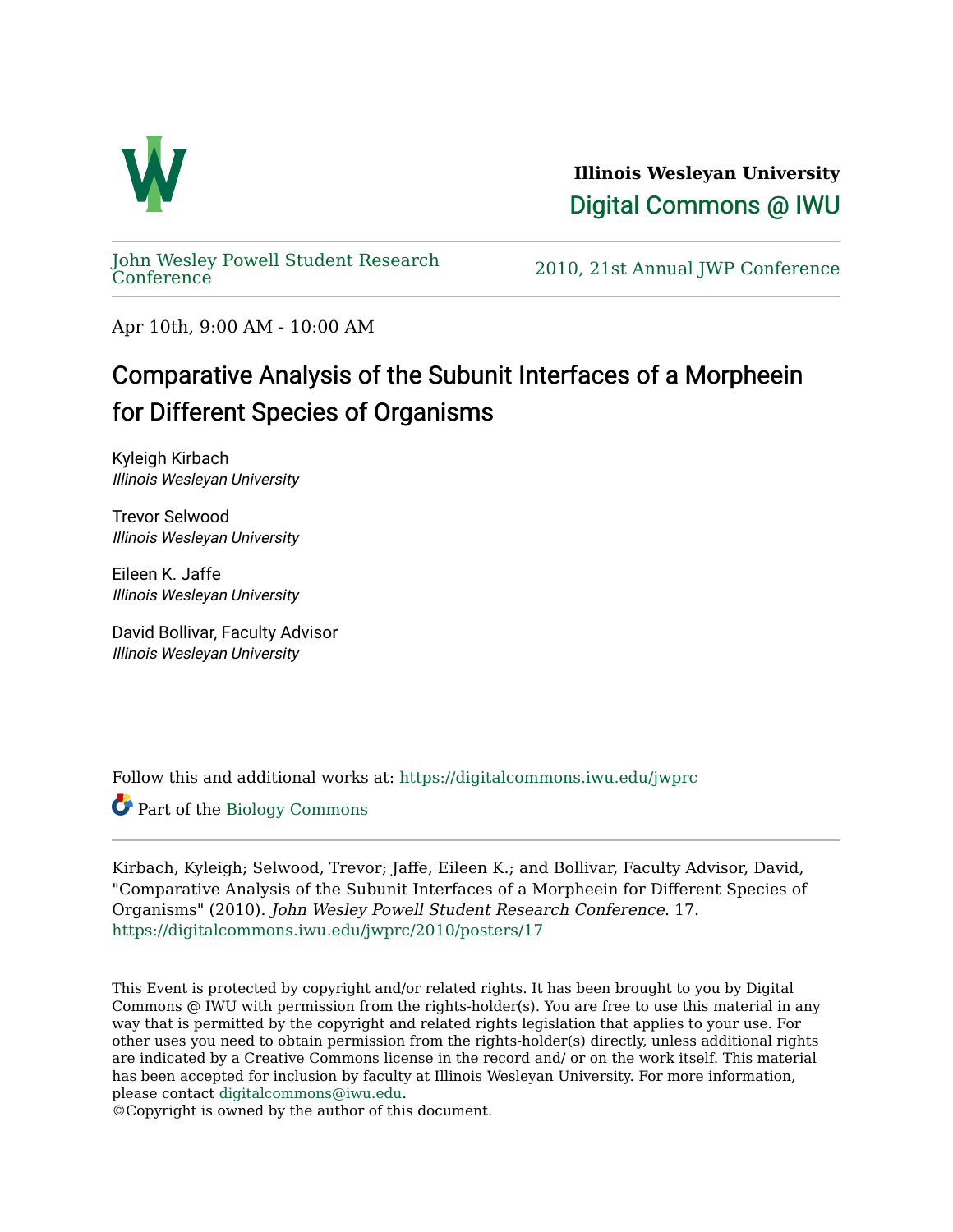

**Illinois Wesleyan University**  [Digital Commons @ IWU](https://digitalcommons.iwu.edu/) 

[John Wesley Powell Student Research](https://digitalcommons.iwu.edu/jwprc) 

2010, 21st Annual JWP [Conference](https://digitalcommons.iwu.edu/jwprc)

Apr 10th, 9:00 AM - 10:00 AM

## Comparative Analysis of the Subunit Interfaces of a Morpheein for Different Species of Organisms

Kyleigh Kirbach Illinois Wesleyan University

Trevor Selwood Illinois Wesleyan University

Eileen K. Jaffe Illinois Wesleyan University

David Bollivar, Faculty Advisor Illinois Wesleyan University

Follow this and additional works at: [https://digitalcommons.iwu.edu/jwprc](https://digitalcommons.iwu.edu/jwprc?utm_source=digitalcommons.iwu.edu%2Fjwprc%2F2010%2Fposters%2F17&utm_medium=PDF&utm_campaign=PDFCoverPages) 

Part of the [Biology Commons](http://network.bepress.com/hgg/discipline/41?utm_source=digitalcommons.iwu.edu%2Fjwprc%2F2010%2Fposters%2F17&utm_medium=PDF&utm_campaign=PDFCoverPages) 

Kirbach, Kyleigh; Selwood, Trevor; Jaffe, Eileen K.; and Bollivar, Faculty Advisor, David, "Comparative Analysis of the Subunit Interfaces of a Morpheein for Different Species of Organisms" (2010). John Wesley Powell Student Research Conference. 17. [https://digitalcommons.iwu.edu/jwprc/2010/posters/17](https://digitalcommons.iwu.edu/jwprc/2010/posters/17?utm_source=digitalcommons.iwu.edu%2Fjwprc%2F2010%2Fposters%2F17&utm_medium=PDF&utm_campaign=PDFCoverPages)

This Event is protected by copyright and/or related rights. It has been brought to you by Digital Commons @ IWU with permission from the rights-holder(s). You are free to use this material in any way that is permitted by the copyright and related rights legislation that applies to your use. For other uses you need to obtain permission from the rights-holder(s) directly, unless additional rights are indicated by a Creative Commons license in the record and/ or on the work itself. This material has been accepted for inclusion by faculty at Illinois Wesleyan University. For more information, please contact [digitalcommons@iwu.edu.](mailto:digitalcommons@iwu.edu)

©Copyright is owned by the author of this document.